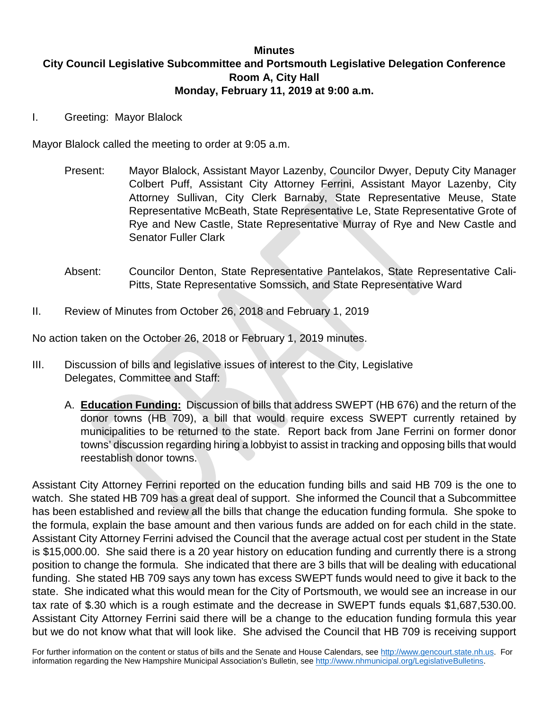### **Minutes City Council Legislative Subcommittee and Portsmouth Legislative Delegation Conference Room A, City Hall Monday, February 11, 2019 at 9:00 a.m.**

I. Greeting: Mayor Blalock

Mayor Blalock called the meeting to order at 9:05 a.m.

- Present: Mayor Blalock, Assistant Mayor Lazenby, Councilor Dwyer, Deputy City Manager Colbert Puff, Assistant City Attorney Ferrini, Assistant Mayor Lazenby, City Attorney Sullivan, City Clerk Barnaby, State Representative Meuse, State Representative McBeath, State Representative Le, State Representative Grote of Rye and New Castle, State Representative Murray of Rye and New Castle and Senator Fuller Clark
- Absent: Councilor Denton, State Representative Pantelakos, State Representative Cali-Pitts, State Representative Somssich, and State Representative Ward
- II. Review of Minutes from October 26, 2018 and February 1, 2019

No action taken on the October 26, 2018 or February 1, 2019 minutes.

- III. Discussion of bills and legislative issues of interest to the City, Legislative Delegates, Committee and Staff:
	- A. **Education Funding:** Discussion of bills that address SWEPT (HB 676) and the return of the donor towns (HB 709), a bill that would require excess SWEPT currently retained by municipalities to be returned to the state. Report back from Jane Ferrini on former donor towns' discussion regarding hiring a lobbyist to assist in tracking and opposing bills that would reestablish donor towns.

Assistant City Attorney Ferrini reported on the education funding bills and said HB 709 is the one to watch. She stated HB 709 has a great deal of support. She informed the Council that a Subcommittee has been established and review all the bills that change the education funding formula. She spoke to the formula, explain the base amount and then various funds are added on for each child in the state. Assistant City Attorney Ferrini advised the Council that the average actual cost per student in the State is \$15,000.00. She said there is a 20 year history on education funding and currently there is a strong position to change the formula. She indicated that there are 3 bills that will be dealing with educational funding. She stated HB 709 says any town has excess SWEPT funds would need to give it back to the state. She indicated what this would mean for the City of Portsmouth, we would see an increase in our tax rate of \$.30 which is a rough estimate and the decrease in SWEPT funds equals \$1,687,530.00. Assistant City Attorney Ferrini said there will be a change to the education funding formula this year but we do not know what that will look like. She advised the Council that HB 709 is receiving support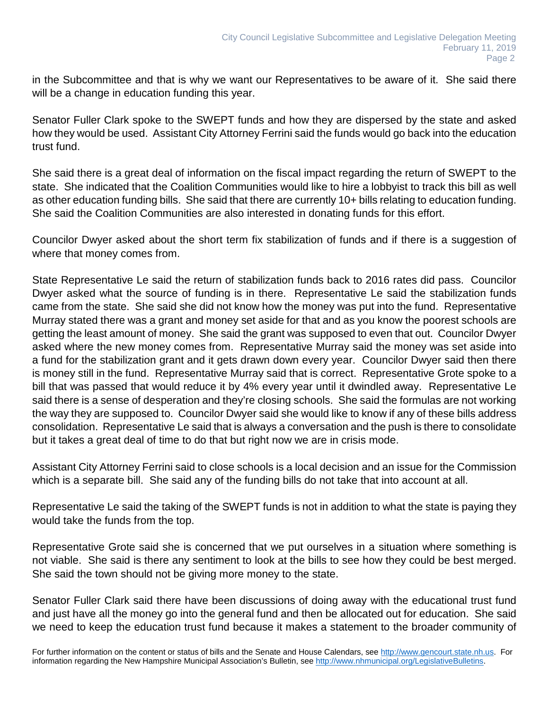in the Subcommittee and that is why we want our Representatives to be aware of it. She said there will be a change in education funding this year.

Senator Fuller Clark spoke to the SWEPT funds and how they are dispersed by the state and asked how they would be used. Assistant City Attorney Ferrini said the funds would go back into the education trust fund.

She said there is a great deal of information on the fiscal impact regarding the return of SWEPT to the state. She indicated that the Coalition Communities would like to hire a lobbyist to track this bill as well as other education funding bills. She said that there are currently 10+ bills relating to education funding. She said the Coalition Communities are also interested in donating funds for this effort.

Councilor Dwyer asked about the short term fix stabilization of funds and if there is a suggestion of where that money comes from.

State Representative Le said the return of stabilization funds back to 2016 rates did pass. Councilor Dwyer asked what the source of funding is in there. Representative Le said the stabilization funds came from the state. She said she did not know how the money was put into the fund. Representative Murray stated there was a grant and money set aside for that and as you know the poorest schools are getting the least amount of money. She said the grant was supposed to even that out. Councilor Dwyer asked where the new money comes from. Representative Murray said the money was set aside into a fund for the stabilization grant and it gets drawn down every year. Councilor Dwyer said then there is money still in the fund. Representative Murray said that is correct. Representative Grote spoke to a bill that was passed that would reduce it by 4% every year until it dwindled away. Representative Le said there is a sense of desperation and they're closing schools. She said the formulas are not working the way they are supposed to. Councilor Dwyer said she would like to know if any of these bills address consolidation. Representative Le said that is always a conversation and the push is there to consolidate but it takes a great deal of time to do that but right now we are in crisis mode.

Assistant City Attorney Ferrini said to close schools is a local decision and an issue for the Commission which is a separate bill. She said any of the funding bills do not take that into account at all.

Representative Le said the taking of the SWEPT funds is not in addition to what the state is paying they would take the funds from the top.

Representative Grote said she is concerned that we put ourselves in a situation where something is not viable. She said is there any sentiment to look at the bills to see how they could be best merged. She said the town should not be giving more money to the state.

Senator Fuller Clark said there have been discussions of doing away with the educational trust fund and just have all the money go into the general fund and then be allocated out for education. She said we need to keep the education trust fund because it makes a statement to the broader community of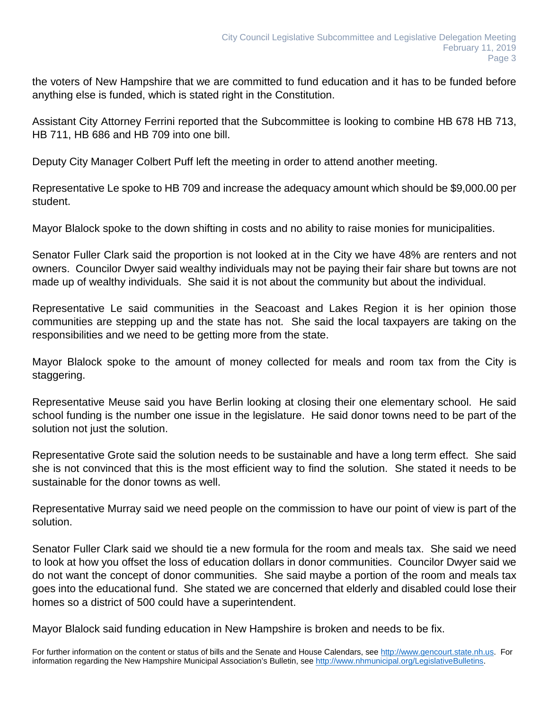the voters of New Hampshire that we are committed to fund education and it has to be funded before anything else is funded, which is stated right in the Constitution.

Assistant City Attorney Ferrini reported that the Subcommittee is looking to combine HB 678 HB 713, HB 711, HB 686 and HB 709 into one bill.

Deputy City Manager Colbert Puff left the meeting in order to attend another meeting.

Representative Le spoke to HB 709 and increase the adequacy amount which should be \$9,000.00 per student.

Mayor Blalock spoke to the down shifting in costs and no ability to raise monies for municipalities.

Senator Fuller Clark said the proportion is not looked at in the City we have 48% are renters and not owners. Councilor Dwyer said wealthy individuals may not be paying their fair share but towns are not made up of wealthy individuals. She said it is not about the community but about the individual.

Representative Le said communities in the Seacoast and Lakes Region it is her opinion those communities are stepping up and the state has not. She said the local taxpayers are taking on the responsibilities and we need to be getting more from the state.

Mayor Blalock spoke to the amount of money collected for meals and room tax from the City is staggering.

Representative Meuse said you have Berlin looking at closing their one elementary school. He said school funding is the number one issue in the legislature. He said donor towns need to be part of the solution not just the solution.

Representative Grote said the solution needs to be sustainable and have a long term effect. She said she is not convinced that this is the most efficient way to find the solution. She stated it needs to be sustainable for the donor towns as well.

Representative Murray said we need people on the commission to have our point of view is part of the solution.

Senator Fuller Clark said we should tie a new formula for the room and meals tax. She said we need to look at how you offset the loss of education dollars in donor communities. Councilor Dwyer said we do not want the concept of donor communities. She said maybe a portion of the room and meals tax goes into the educational fund. She stated we are concerned that elderly and disabled could lose their homes so a district of 500 could have a superintendent.

Mayor Blalock said funding education in New Hampshire is broken and needs to be fix.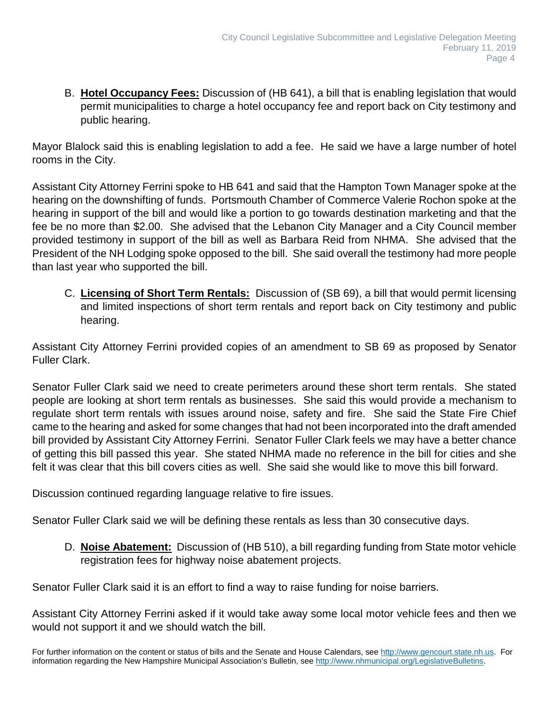B. **Hotel Occupancy Fees:** Discussion of (HB 641), a bill that is enabling legislation that would permit municipalities to charge a hotel occupancy fee and report back on City testimony and public hearing.

Mayor Blalock said this is enabling legislation to add a fee. He said we have a large number of hotel rooms in the City.

Assistant City Attorney Ferrini spoke to HB 641 and said that the Hampton Town Manager spoke at the hearing on the downshifting of funds. Portsmouth Chamber of Commerce Valerie Rochon spoke at the hearing in support of the bill and would like a portion to go towards destination marketing and that the fee be no more than \$2.00. She advised that the Lebanon City Manager and a City Council member provided testimony in support of the bill as well as Barbara Reid from NHMA. She advised that the President of the NH Lodging spoke opposed to the bill. She said overall the testimony had more people than last year who supported the bill.

C. **Licensing of Short Term Rentals:** Discussion of (SB 69), a bill that would permit licensing and limited inspections of short term rentals and report back on City testimony and public hearing.

Assistant City Attorney Ferrini provided copies of an amendment to SB 69 as proposed by Senator Fuller Clark.

Senator Fuller Clark said we need to create perimeters around these short term rentals. She stated people are looking at short term rentals as businesses. She said this would provide a mechanism to regulate short term rentals with issues around noise, safety and fire. She said the State Fire Chief came to the hearing and asked for some changes that had not been incorporated into the draft amended bill provided by Assistant City Attorney Ferrini. Senator Fuller Clark feels we may have a better chance of getting this bill passed this year. She stated NHMA made no reference in the bill for cities and she felt it was clear that this bill covers cities as well. She said she would like to move this bill forward.

Discussion continued regarding language relative to fire issues.

Senator Fuller Clark said we will be defining these rentals as less than 30 consecutive days.

D. **Noise Abatement:** Discussion of (HB 510), a bill regarding funding from State motor vehicle registration fees for highway noise abatement projects.

Senator Fuller Clark said it is an effort to find a way to raise funding for noise barriers.

Assistant City Attorney Ferrini asked if it would take away some local motor vehicle fees and then we would not support it and we should watch the bill.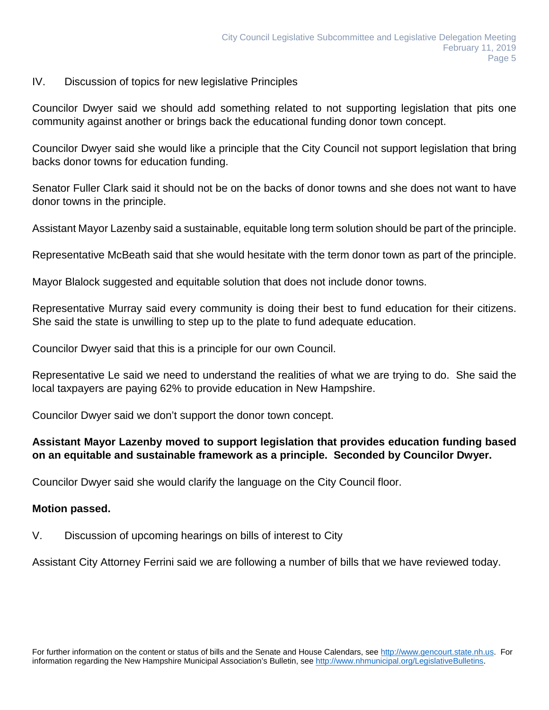### IV. Discussion of topics for new legislative Principles

Councilor Dwyer said we should add something related to not supporting legislation that pits one community against another or brings back the educational funding donor town concept.

Councilor Dwyer said she would like a principle that the City Council not support legislation that bring backs donor towns for education funding.

Senator Fuller Clark said it should not be on the backs of donor towns and she does not want to have donor towns in the principle.

Assistant Mayor Lazenby said a sustainable, equitable long term solution should be part of the principle.

Representative McBeath said that she would hesitate with the term donor town as part of the principle.

Mayor Blalock suggested and equitable solution that does not include donor towns.

Representative Murray said every community is doing their best to fund education for their citizens. She said the state is unwilling to step up to the plate to fund adequate education.

Councilor Dwyer said that this is a principle for our own Council.

Representative Le said we need to understand the realities of what we are trying to do. She said the local taxpayers are paying 62% to provide education in New Hampshire.

Councilor Dwyer said we don't support the donor town concept.

# **Assistant Mayor Lazenby moved to support legislation that provides education funding based on an equitable and sustainable framework as a principle. Seconded by Councilor Dwyer.**

Councilor Dwyer said she would clarify the language on the City Council floor.

## **Motion passed.**

V. Discussion of upcoming hearings on bills of interest to City

Assistant City Attorney Ferrini said we are following a number of bills that we have reviewed today.